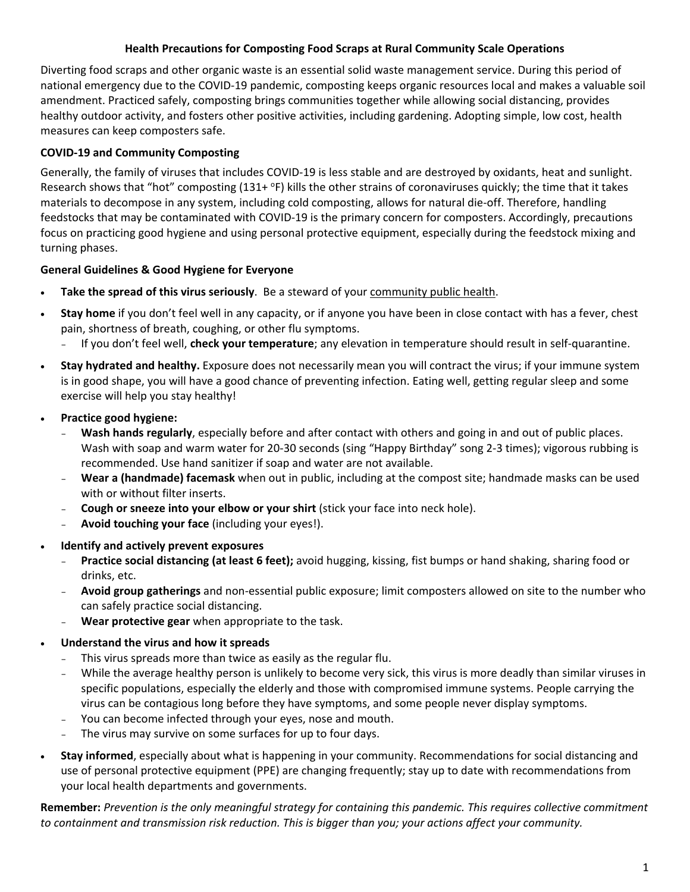#### **Health Precautions for Composting Food Scraps at Rural Community Scale Operations**

Diverting food scraps and other organic waste is an essential solid waste management service. During this period of national emergency due to the COVID‐19 pandemic, composting keeps organic resources local and makes a valuable soil amendment. Practiced safely, composting brings communities together while allowing social distancing, provides healthy outdoor activity, and fosters other positive activities, including gardening. Adopting simple, low cost, health measures can keep composters safe.

## **COVID‐19 and Community Composting**

Generally, the family of viruses that includes COVID‐19 is less stable and are destroyed by oxidants, heat and sunlight. Research shows that "hot" composting (131+ °F) kills the other strains of coronaviruses quickly; the time that it takes materials to decompose in any system, including cold composting, allows for natural die‐off. Therefore, handling feedstocks that may be contaminated with COVID-19 is the primary concern for composters. Accordingly, precautions focus on practicing good hygiene and using personal protective equipment, especially during the feedstock mixing and turning phases.

### **General Guidelines & Good Hygiene for Everyone**

- **Take the spread of this virus seriously**. Be a steward of your community public health.
- **Stay home** if you don't feel well in any capacity, or if anyone you have been in close contact with has a fever, chest pain, shortness of breath, coughing, or other flu symptoms.
	- If you don't feel well, **check your temperature**; any elevation in temperature should result in self‐quarantine.
- **Stay hydrated and healthy.** Exposure does not necessarily mean you will contract the virus; if your immune system is in good shape, you will have a good chance of preventing infection. Eating well, getting regular sleep and some exercise will help you stay healthy!
- **Practice good hygiene:** 
	- **Wash hands regularly**, especially before and after contact with others and going in and out of public places. Wash with soap and warm water for 20‐30 seconds (sing "Happy Birthday" song 2‐3 times); vigorous rubbing is recommended. Use hand sanitizer if soap and water are not available.
	- **Wear a (handmade) facemask** when out in public, including at the compost site; handmade masks can be used with or without filter inserts.
	- **Cough or sneeze into your elbow or your shirt** (stick your face into neck hole).
	- **Avoid touching your face** (including your eyes!).
- **Identify and actively prevent exposures** 
	- **Practice social distancing (at least 6 feet);** avoid hugging, kissing, fist bumps or hand shaking, sharing food or drinks, etc.
	- **Avoid group gatherings** and non‐essential public exposure; limit composters allowed on site to the number who can safely practice social distancing.
	- **Wear protective gear** when appropriate to the task.
- **Understand the virus and how it spreads** 
	- This virus spreads more than twice as easily as the regular flu.
	- While the average healthy person is unlikely to become very sick, this virus is more deadly than similar viruses in specific populations, especially the elderly and those with compromised immune systems. People carrying the virus can be contagious long before they have symptoms, and some people never display symptoms.
	- You can become infected through your eyes, nose and mouth.
	- The virus may survive on some surfaces for up to four days.
- **Stay informed**, especially about what is happening in your community. Recommendations for social distancing and use of personal protective equipment (PPE) are changing frequently; stay up to date with recommendations from your local health departments and governments.

**Remember:** *Prevention is the only meaningful strategy for containing this pandemic. This requires collective commitment to containment and transmission risk reduction. This is bigger than you; your actions affect your community.*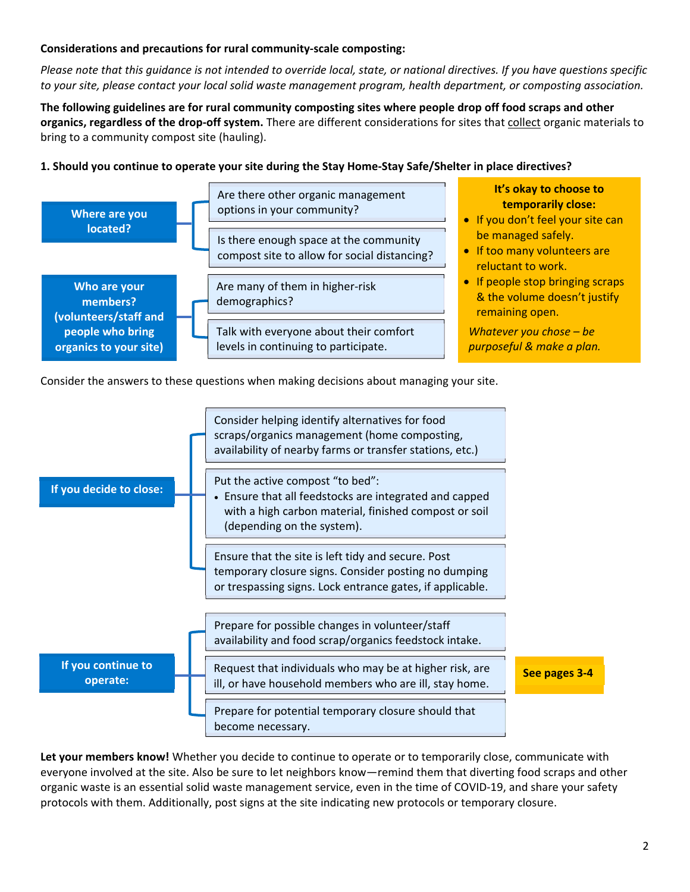#### **Considerations and precautions for rural community‐scale composting:**

*Please note that this guidance is not intended to override local, state, or national directives. If you have questions specific to your site, please contact your local solid waste management program, health department, or composting association.* 

**The following guidelines are for rural community composting sites where people drop off food scraps and other organics, regardless of the drop‐off system.** There are different considerations for sites that collect organic materials to bring to a community compost site (hauling).

#### **1. Should you continue to operate your site during the Stay Home‐Stay Safe/Shelter in place directives?**



Consider the answers to these questions when making decisions about managing your site.



**Let your members know!** Whether you decide to continue to operate or to temporarily close, communicate with everyone involved at the site. Also be sure to let neighbors know—remind them that diverting food scraps and other organic waste is an essential solid waste management service, even in the time of COVID‐19, and share your safety protocols with them. Additionally, post signs at the site indicating new protocols or temporary closure.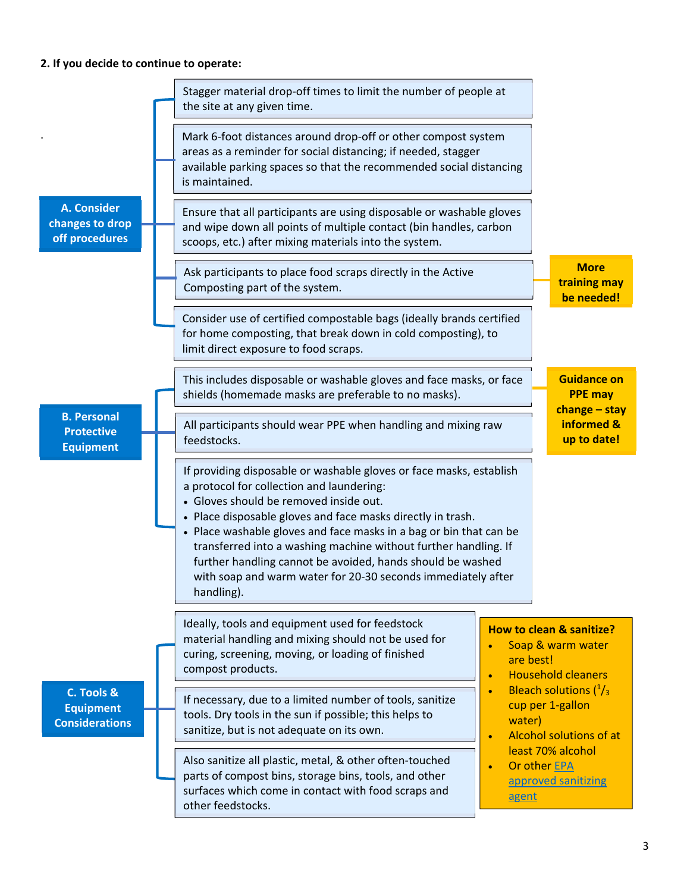# **2. If you decide to continue to operate:**

|                                                             | Stagger material drop-off times to limit the number of people at<br>the site at any given time.                                                                                                                                                                                                                                                                                                                                                                                                                |                                                                                                                                                                                                                                                                                                  |  |
|-------------------------------------------------------------|----------------------------------------------------------------------------------------------------------------------------------------------------------------------------------------------------------------------------------------------------------------------------------------------------------------------------------------------------------------------------------------------------------------------------------------------------------------------------------------------------------------|--------------------------------------------------------------------------------------------------------------------------------------------------------------------------------------------------------------------------------------------------------------------------------------------------|--|
|                                                             | Mark 6-foot distances around drop-off or other compost system<br>areas as a reminder for social distancing; if needed, stagger<br>available parking spaces so that the recommended social distancing<br>is maintained.                                                                                                                                                                                                                                                                                         |                                                                                                                                                                                                                                                                                                  |  |
| <b>A. Consider</b><br>changes to drop<br>off procedures     | Ensure that all participants are using disposable or washable gloves<br>and wipe down all points of multiple contact (bin handles, carbon<br>scoops, etc.) after mixing materials into the system.                                                                                                                                                                                                                                                                                                             |                                                                                                                                                                                                                                                                                                  |  |
|                                                             | Ask participants to place food scraps directly in the Active<br>Composting part of the system.                                                                                                                                                                                                                                                                                                                                                                                                                 | <b>More</b><br>training may<br>be needed!                                                                                                                                                                                                                                                        |  |
|                                                             | Consider use of certified compostable bags (ideally brands certified<br>for home composting, that break down in cold composting), to<br>limit direct exposure to food scraps.                                                                                                                                                                                                                                                                                                                                  |                                                                                                                                                                                                                                                                                                  |  |
|                                                             | This includes disposable or washable gloves and face masks, or face<br>shields (homemade masks are preferable to no masks).                                                                                                                                                                                                                                                                                                                                                                                    | <b>Guidance on</b><br><b>PPE may</b><br>$change - stay$                                                                                                                                                                                                                                          |  |
| <b>B. Personal</b><br><b>Protective</b><br><b>Equipment</b> | All participants should wear PPE when handling and mixing raw<br>feedstocks.                                                                                                                                                                                                                                                                                                                                                                                                                                   | informed &<br>up to date!                                                                                                                                                                                                                                                                        |  |
|                                                             | If providing disposable or washable gloves or face masks, establish<br>a protocol for collection and laundering:<br>· Gloves should be removed inside out.<br>• Place disposable gloves and face masks directly in trash.<br>• Place washable gloves and face masks in a bag or bin that can be<br>transferred into a washing machine without further handling. If<br>further handling cannot be avoided, hands should be washed<br>with soap and warm water for 20-30 seconds immediately after<br>handling). |                                                                                                                                                                                                                                                                                                  |  |
| C. Tools &<br><b>Equipment</b><br><b>Considerations</b>     | Ideally, tools and equipment used for feedstock<br>material handling and mixing should not be used for<br>curing, screening, moving, or loading of finished<br>compost products.<br>$\bullet$                                                                                                                                                                                                                                                                                                                  | How to clean & sanitize?<br>Soap & warm water<br>are best!<br><b>Household cleaners</b><br>Bleach solutions $(^1/3)$<br>$\bullet$<br>cup per 1-gallon<br>water)<br><b>Alcohol solutions of at</b><br>$\bullet$<br>least 70% alcohol<br>Or other EPA<br>$\bullet$<br>approved sanitizing<br>agent |  |
|                                                             | If necessary, due to a limited number of tools, sanitize<br>tools. Dry tools in the sun if possible; this helps to<br>sanitize, but is not adequate on its own.                                                                                                                                                                                                                                                                                                                                                |                                                                                                                                                                                                                                                                                                  |  |
|                                                             | Also sanitize all plastic, metal, & other often-touched<br>parts of compost bins, storage bins, tools, and other<br>surfaces which come in contact with food scraps and<br>other feedstocks.                                                                                                                                                                                                                                                                                                                   |                                                                                                                                                                                                                                                                                                  |  |